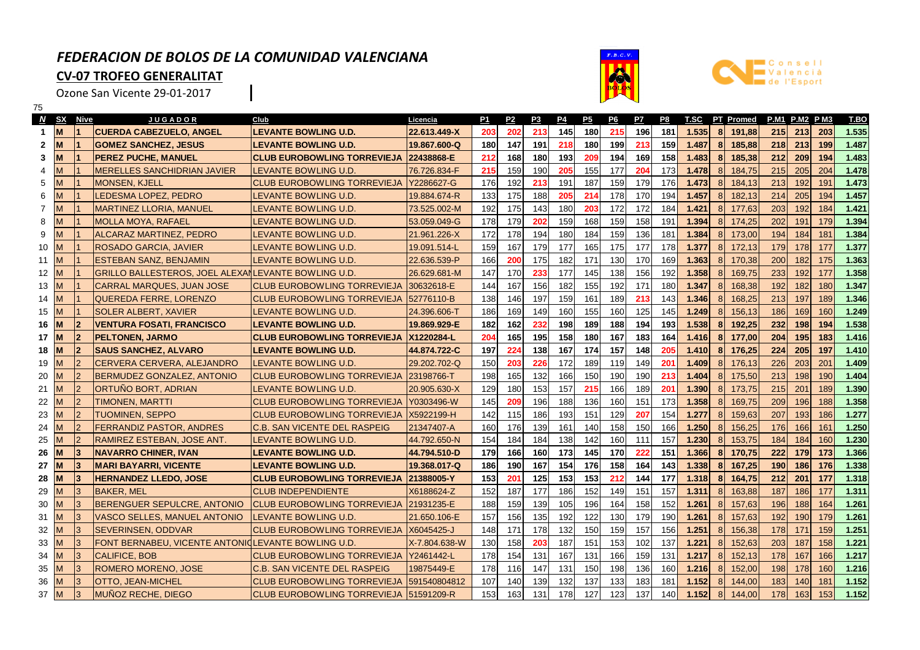## *FEDERACION DE BOLOS DE LA COMUNIDAD VALENCIANA***CV-07 TROFEO GENERALITAT**

Ozone San Vicente 29-01-2017

75





|    | <b>SX</b> | Nive           | <b>JUGADOR</b>                                      | Club                                   | Licencia          | P1  | P2  | P3  | P4  | P5  | P6  | P7  | P8  | T.SC  |                | <b>PT</b> Promed | <b>P.M1 P.M2 PM3</b> |     |     | T.BO  |
|----|-----------|----------------|-----------------------------------------------------|----------------------------------------|-------------------|-----|-----|-----|-----|-----|-----|-----|-----|-------|----------------|------------------|----------------------|-----|-----|-------|
|    |           |                | <b>CUERDA CABEZUELO, ANGEL</b>                      | <b>LEVANTE BOWLING U.D.</b>            | 22.613.449-X      | 203 | 202 | 213 | 145 | 180 | 215 | 196 | 181 | 1.535 | 8              | 191.88           | 215                  | 213 | 203 | 1.535 |
| 2  |           |                | <b>GOMEZ SANCHEZ, JESUS</b>                         | <b>LEVANTE BOWLING U.D.</b>            | 19.867.600-Q      | 180 | 147 | 191 | 218 | 180 | 199 | 213 | 159 | 1.487 | 8              | 185,88           | 218                  | 213 | 199 | 1.487 |
| 3  |           | $\mathbf{11}$  | <b>PEREZ PUCHE, MANUEL</b>                          | <b>CLUB EUROBOWLING TORREVIEJA</b>     | 22438868-E        | 212 | 168 | 180 | 193 | 209 | 194 | 169 | 158 | 1.483 | 8              | 185,38           | 212                  | 209 | 194 | 1.483 |
|    |           |                | <b>MERELLES SANCHIDRIAN JAVIER</b>                  | LEVANTE BOWLING U.D                    | 76.726.834-F      | 215 | 159 | 190 | 205 | 155 | 177 | 204 | 173 | 1.478 | 8              | 184,75           | 215                  | 205 | 204 | 1.478 |
| 5  |           |                | <b>MONSEN, KJELL</b>                                | <b>CLUB EUROBOWLING TORREVIEJA</b>     | Y2286627-G        | 176 | 192 | 213 | 191 | 187 | 159 | 179 | 176 | 1.473 | 8              | 184,13           | 213                  | 192 | 191 | 1.473 |
| 6  |           |                | LEDESMA LOPEZ, PEDRO                                | LEVANTE BOWLING U.D.                   | 19.884.674-R      | 133 | 175 | 188 | 205 | 214 | 178 | 170 | 194 | 1.457 | 8              | 182,13           | 214                  | 205 | 194 | 1.457 |
|    |           |                | <b>MARTINEZ LLORIA, MANUEL</b>                      | LEVANTE BOWLING U.D.                   | 73.525.002-M      | 192 | 175 | 143 | 180 | 203 | 172 | 172 | 184 | 1.421 | 8              | 177,63           | 203                  | 192 | 184 | 1.421 |
| 8  |           |                | <b>MOLLA MOYA, RAFAEL</b>                           | LEVANTE BOWLING U.D.                   | 53.059.049-G      | 178 | 179 | 202 | 159 | 168 | 159 | 158 | 191 | 1.394 |                | 174,25           | 202                  | 191 | 179 | 1.394 |
| 9  |           |                | <b>ALCARAZ MARTINEZ, PEDRO</b>                      | LEVANTE BOWLING U.D.                   | 21.961.226-X      | 172 | 178 | 194 | 180 | 184 | 159 | 136 | 181 | 1.384 | $\overline{8}$ | 173,00           | 194                  | 184 | 181 | 1.384 |
| 10 |           |                | <b>ROSADO GARCIA, JAVIER</b>                        | LEVANTE BOWLING U.D.                   | 19.091.514-L      | 159 | 167 | 179 | 177 | 165 | 175 | 177 | 178 | 1.377 | 8              | 172,13           | 179                  | 178 | 177 | 1.377 |
| 11 | M         |                | <b>ESTEBAN SANZ, BENJAMIN</b>                       | LEVANTE BOWLING U.D.                   | 22.636.539-P      | 166 | 200 | 175 | 182 | 171 | 130 | 170 | 169 | 1.363 | 8              | 170,38           | 200                  | 182 | 175 | 1.363 |
| 12 |           |                | GRILLO BALLESTEROS, JOEL ALEXAILEVANTE BOWLING U.D. |                                        | 26.629.681-M      | 147 | 170 | 233 | 177 | 145 | 138 | 156 | 192 | 1.358 | 8              | 169,75           | 233                  | 192 | 177 | 1.358 |
| 13 |           |                | <b>CARRAL MARQUES, JUAN JOSE</b>                    | <b>CLUB EUROBOWLING TORREVIEJA</b>     | 30632618-E        | 144 | 167 | 156 | 182 | 155 | 192 | 171 | 180 | 1.347 |                | 168,38           | 192                  | 182 | 180 | 1.347 |
| 14 | м         |                | QUEREDA FERRE, LORENZO                              | <b>CLUB EUROBOWLING TORREVIEJA</b>     | 52776110-B        | 138 | 146 | 197 | 159 | 161 | 189 | 213 | 143 | 1.346 | $\mathbf{8}$   | 168,25           | 213                  | 197 | 189 | 1.346 |
| 15 |           |                | <b>SOLER ALBERT, XAVIER</b>                         | LEVANTE BOWLING U.D.                   | 24.396.606-T      | 186 | 169 | 149 | 160 | 155 | 160 | 125 | 145 | 1.249 | 8              | 156,13           | 186                  | 169 | 160 | 1.249 |
| 16 |           |                | <b>VENTURA FOSATI, FRANCISCO</b>                    | <b>LEVANTE BOWLING U.D.</b>            | 19.869.929-E      | 182 | 162 | 232 | 198 | 189 | 188 | 194 | 193 | 1.538 | 8              | 192,25           | 232                  | 198 | 194 | 1.538 |
| 17 |           | 2              | <b>PELTONEN, JARMO</b>                              | <b>CLUB EUROBOWLING TORREVIEJA</b>     | X1220284-L        | 204 | 165 | 195 | 158 | 180 | 167 | 183 | 164 | 1.416 | 8              | 177,00           | 204                  | 195 | 183 | 1.416 |
| 18 |           | 2              | <b>SAUS SANCHEZ, ALVARO</b>                         | <b>LEVANTE BOWLING U.D.</b>            | 44.874.722-C      | 197 | 224 | 138 | 167 | 174 | 157 | 148 | 205 | 1.410 | 8              | 176,25           | 224                  | 205 | 197 | 1.410 |
| 19 |           | 2              | CERVERA CERVERA, ALEJANDRO                          | LEVANTE BOWLING U.D.                   | 29.202.702-Q      | 150 | 203 | 226 | 172 | 189 | 119 | 149 | 201 | 1.409 | 8              | 176,13           | 226                  | 203 | 201 | 1.409 |
| 20 |           |                | BERMUDEZ GONZALEZ, ANTONIO                          | <b>CLUB EUROBOWLING TORREVIEJA</b>     | 23198766-T        | 198 | 165 | 132 | 166 | 150 | 190 | 190 | 213 | 1.404 |                | 175,50           | 213                  | 198 | 190 | 1.404 |
| 21 |           |                | ORTUNO BORT, ADRIAN                                 | LEVANTE BOWLING U.D                    | 20.905.630-X      | 129 | 180 | 153 | 157 | 215 | 166 | 189 | 201 | 1.390 | 8              | 173,75           | 215                  | 201 | 189 | 1.390 |
| 22 |           | 2              | <b>TIMONEN, MARTTI</b>                              | <b>CLUB EUROBOWLING TORREVIEJA</b>     | Y0303496-W        | 145 | 209 | 196 | 188 | 136 | 160 | 151 | 173 | 1.358 | 8              | 169,75           | 209                  | 196 | 188 | 1.358 |
| 23 |           | 2              | <b>TUOMINEN, SEPPO</b>                              | <b>CLUB EUROBOWLING TORREVIEJA</b>     | <b>X5922199-H</b> | 142 | 115 | 186 | 193 | 151 | 129 | 207 | 154 | 1.277 | 8              | 159,63           | 207                  | 193 | 186 | 1.277 |
| 24 | M         |                | <b>FERRANDIZ PASTOR, ANDRES</b>                     | <b>C.B. SAN VICENTE DEL RASPEIG</b>    | 21347407-A        | 160 | 176 | 139 | 161 | 140 | 158 | 150 | 166 | 1.250 |                | 156,25           | 176                  | 166 | 161 | 1.250 |
| 25 | M         | 12             | RAMIREZ ESTEBAN, JOSE ANT.                          | LEVANTE BOWLING U.D.                   | 44.792.650-N      | 154 | 184 | 184 | 138 | 142 | 160 | 111 | 157 | 1.230 | 8              | 153,75           | 184                  | 184 | 160 | 1.230 |
| 26 | M         | 3              | <b>NAVARRO CHINER, IVAN</b>                         | <b>LEVANTE BOWLING U.D.</b>            | 44.794.510-D      | 179 | 166 | 160 | 173 | 145 | 170 | 222 | 151 | 1.366 | 8              | 170.75           | 222                  | 179 | 173 | 1.366 |
| 27 | M         | 3              | <b>MARI BAYARRI, VICENTE</b>                        | <b>LEVANTE BOWLING U.D.</b>            | 19.368.017-Q      | 186 | 190 | 167 | 154 | 176 | 158 | 164 | 143 | 1.338 | 8              | 167.25           | 190                  | 186 | 176 | 1.338 |
| 28 | M         | $\overline{3}$ | <b>HERNANDEZ LLEDO, JOSE</b>                        | <b>CLUB EUROBOWLING TORREVIEJA</b>     | 21388005-Y        | 153 | 201 | 125 | 153 | 153 | 212 | 144 | 177 | 1.318 | 8              | 164,75           | 212                  | 201 | 177 | 1.318 |
| 29 | M         | $\overline{3}$ | <b>BAKER, MEL</b>                                   | <b>CLUB INDEPENDIENTE</b>              | X6188624-Z        | 152 | 187 | 177 | 186 | 152 | 149 | 151 | 157 | 1.311 | 8              | 163,88           | 187                  | 186 | 177 | 1.311 |
| 30 | M         | $\overline{3}$ | <b>BERENGUER SEPULCRE, ANTONIO</b>                  | CLUB EUROBOWLING TORREVIEJA 21931235-E |                   | 188 | 159 | 139 | 105 | 196 | 164 | 158 | 152 | 1.261 | 8              | 157,63           | 196                  | 188 | 164 | 1.261 |
| 31 | M         | $\overline{3}$ | <b>VASCO SELLES, MANUEL ANTONIO</b>                 | LEVANTE BOWLING U.D.                   | 21.650.106-E      | 157 | 156 | 135 | 192 | 122 | 130 | 179 | 190 | 1.261 | 8              | 157,63           | 192                  | 190 | 179 | 1.261 |
| 32 | M         | $\overline{3}$ | <b>SEVERINSEN, ODDVAR</b>                           | <b>CLUB EUROBOWLING TORREVIEJA</b>     | X6045425-J        | 148 | 171 | 178 | 132 | 150 | 159 | 157 | 156 | 1.251 | 8              | 156,38           | 178                  | 171 | 159 | 1.251 |
| 33 | M         | $\overline{3}$ | FONT BERNABEU, VICENTE ANTONIQLEVANTE BOWLING U.D.  |                                        | X-7.804.638-W     | 130 | 158 | 203 | 187 | 151 | 153 | 102 | 137 | 1.221 | 8              | 152,63           | 203                  | 187 | 158 | 1.221 |
| 34 | м         | $\overline{3}$ | <b>CALIFICE, BOB</b>                                | <b>CLUB EUROBOWLING TORREVIEJA</b>     | Y2461442-L        | 178 | 154 | 131 | 167 | 131 | 166 | 159 | 131 | 1.217 | 8              | 152,13           | 178                  | 167 | 166 | 1.217 |
| 35 | M         | $\overline{3}$ | <b>ROMERO MORENO, JOSE</b>                          | <b>C.B. SAN VICENTE DEL RASPEIG</b>    | 19875449-E        | 178 | 116 | 147 | 131 | 150 | 198 | 136 | 160 | 1.216 | 8              | 152,00           | 198                  | 178 | 160 | 1.216 |
| 36 |           | $\overline{3}$ | <b>OTTO, JEAN-MICHEL</b>                            | <b>CLUB EUROBOWLING TORREVIEJA</b>     | 591540804812      | 107 | 140 | 139 | 132 | 137 | 133 | 183 | 181 | 1.152 | 8              | 144,00           | 183                  | 140 | 181 | 1.152 |
| 37 | M         | $\overline{3}$ | <b>MUÑOZ RECHE, DIEGO</b>                           | CLUB EUROBOWLING TORREVIEJA 51591209-R |                   | 153 | 163 | 131 | 178 | 127 | 123 | 137 | 140 | 1.152 | 8              | 144,00           | 178                  | 163 | 153 | 1.152 |